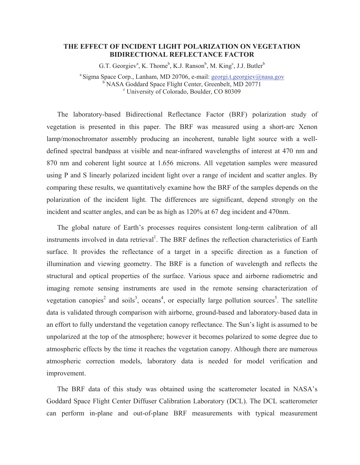## **THE EFFECT OF INCIDENT LIGHT POLARIZATION ON VEGETATION BIDIRECTIONAL REFLECTANCE FACTOR**

G.T. Georgiev<sup>a</sup>, K. Thome<sup>b</sup>, K.J. Ranson<sup>b</sup>, M. King<sup>c</sup>, J.J. Butler<sup>b</sup>

<sup>a</sup> Sigma Space Corp., Lanham, MD 20706, e-mail: **georgi.t.georgiev@nasa.gov** <sup>b</sup> NASA Goddard Space Flight Center, Greenbelt, MD 20771 University of Colorado, Boulder, CO 80309

The laboratory-based Bidirectional Reflectance Factor (BRF) polarization study of vegetation is presented in this paper. The BRF was measured using a short-arc Xenon lamp/monochromator assembly producing an incoherent, tunable light source with a welldefined spectral bandpass at visible and near-infrared wavelengths of interest at 470 nm and 870 nm and coherent light source at 1.656 microns. All vegetation samples were measured using P and S linearly polarized incident light over a range of incident and scatter angles. By comparing these results, we quantitatively examine how the BRF of the samples depends on the polarization of the incident light. The differences are significant, depend strongly on the incident and scatter angles, and can be as high as 120% at 67 deg incident and 470nm.

The global nature of Earth's processes requires consistent long-term calibration of all instruments involved in data retrieval<sup>1</sup>. The BRF defines the reflection characteristics of Earth surface. It provides the reflectance of a target in a specific direction as a function of illumination and viewing geometry. The BRF is a function of wavelength and reflects the structural and optical properties of the surface. Various space and airborne radiometric and imaging remote sensing instruments are used in the remote sensing characterization of vegetation canopies<sup>2</sup> and soils<sup>3</sup>, oceans<sup>4</sup>, or especially large pollution sources<sup>5</sup>. The satellite data is validated through comparison with airborne, ground-based and laboratory-based data in an effort to fully understand the vegetation canopy reflectance. The Sun's light is assumed to be unpolarized at the top of the atmosphere; however it becomes polarized to some degree due to atmospheric effects by the time it reaches the vegetation canopy. Although there are numerous atmospheric correction models, laboratory data is needed for model verification and improvement.

The BRF data of this study was obtained using the scatterometer located in NASA's Goddard Space Flight Center Diffuser Calibration Laboratory (DCL). The DCL scatterometer can perform in-plane and out-of-plane BRF measurements with typical measurement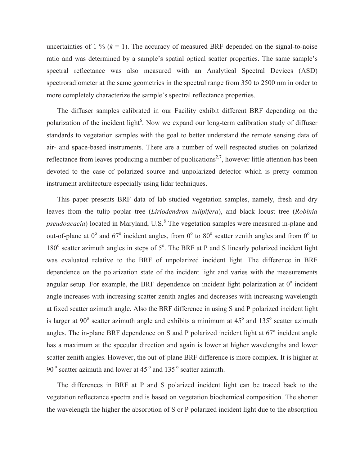uncertainties of  $1\%$  ( $k = 1$ ). The accuracy of measured BRF depended on the signal-to-noise ratio and was determined by a sample's spatial optical scatter properties. The same sample's spectral reflectance was also measured with an Analytical Spectral Devices (ASD) spectroradiometer at the same geometries in the spectral range from 350 to 2500 nm in order to more completely characterize the sample's spectral reflectance properties.

The diffuser samples calibrated in our Facility exhibit different BRF depending on the polarization of the incident light<sup>6</sup>. Now we expand our long-term calibration study of diffuser standards to vegetation samples with the goal to better understand the remote sensing data of air- and space-based instruments. There are a number of well respected studies on polarized reflectance from leaves producing a number of publications<sup>2,7</sup>, however little attention has been devoted to the case of polarized source and unpolarized detector which is pretty common instrument architecture especially using lidar techniques.

This paper presents BRF data of lab studied vegetation samples, namely, fresh and dry leaves from the tulip poplar tree (*Liriodendron tulipifera*), and black locust tree (*Robinia pseudoacacia*) located in Maryland, U.S.<sup>8</sup> The vegetation samples were measured in-plane and out-of-plane at  $0^{\circ}$  and  $67^{\circ}$  incident angles, from  $0^{\circ}$  to  $80^{\circ}$  scatter zenith angles and from  $0^{\circ}$  to 180° scatter azimuth angles in steps of 5°. The BRF at P and S linearly polarized incident light was evaluated relative to the BRF of unpolarized incident light. The difference in BRF dependence on the polarization state of the incident light and varies with the measurements angular setup. For example, the BRF dependence on incident light polarization at  $0^\circ$  incident angle increases with increasing scatter zenith angles and decreases with increasing wavelength at fixed scatter azimuth angle. Also the BRF difference in using S and P polarized incident light is larger at  $90^{\circ}$  scatter azimuth angle and exhibits a minimum at  $45^{\circ}$  and  $135^{\circ}$  scatter azimuth angles. The in-plane BRF dependence on S and P polarized incident light at  $67^\circ$  incident angle has a maximum at the specular direction and again is lower at higher wavelengths and lower scatter zenith angles. However, the out-of-plane BRF difference is more complex. It is higher at  $90^\circ$  scatter azimuth and lower at  $45^\circ$  and  $135^\circ$  scatter azimuth.

The differences in BRF at P and S polarized incident light can be traced back to the vegetation reflectance spectra and is based on vegetation biochemical composition. The shorter the wavelength the higher the absorption of S or P polarized incident light due to the absorption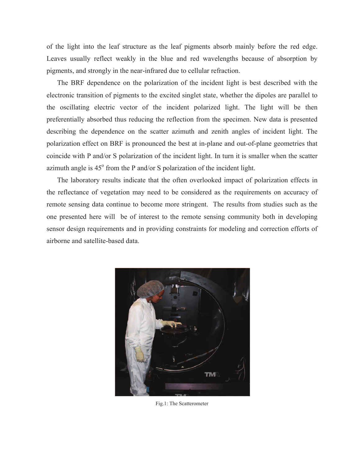of the light into the leaf structure as the leaf pigments absorb mainly before the red edge. Leaves usually reflect weakly in the blue and red wavelengths because of absorption by pigments, and strongly in the near-infrared due to cellular refraction.

The BRF dependence on the polarization of the incident light is best described with the electronic transition of pigments to the excited singlet state, whether the dipoles are parallel to the oscillating electric vector of the incident polarized light. The light will be then preferentially absorbed thus reducing the reflection from the specimen. New data is presented describing the dependence on the scatter azimuth and zenith angles of incident light. The polarization effect on BRF is pronounced the best at in-plane and out-of-plane geometries that coincide with P and/or S polarization of the incident light. In turn it is smaller when the scatter azimuth angle is  $45^\circ$  from the P and/or S polarization of the incident light.

The laboratory results indicate that the often overlooked impact of polarization effects in the reflectance of vegetation may need to be considered as the requirements on accuracy of remote sensing data continue to become more stringent. The results from studies such as the one presented here will be of interest to the remote sensing community both in developing sensor design requirements and in providing constraints for modeling and correction efforts of airborne and satellite-based data.



Fig.1: The Scatterometer